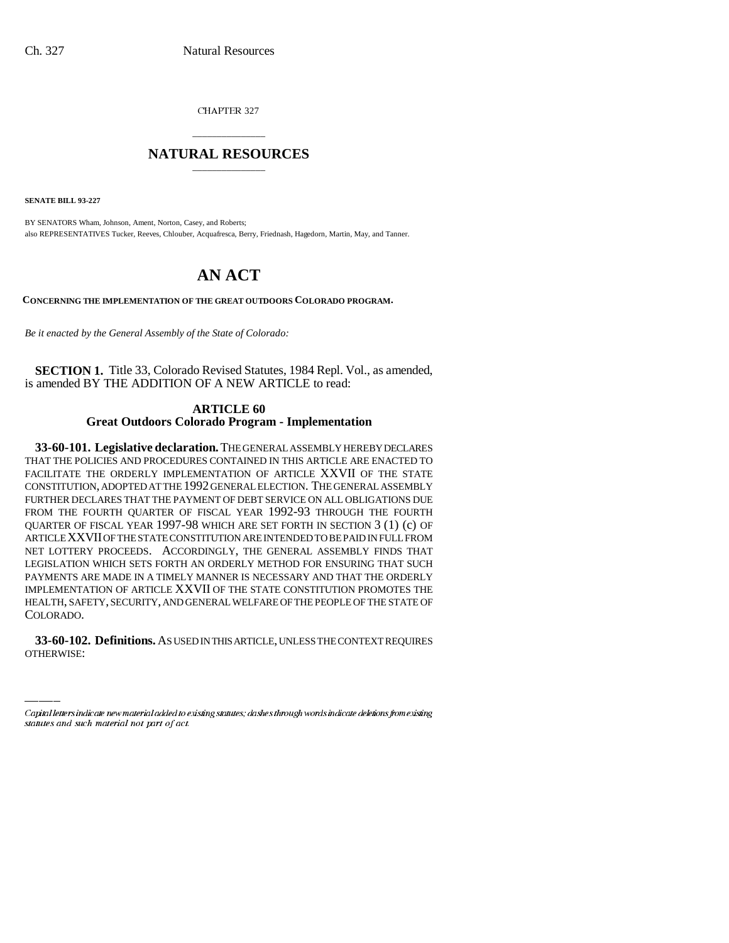CHAPTER 327

# \_\_\_\_\_\_\_\_\_\_\_\_\_\_\_ **NATURAL RESOURCES** \_\_\_\_\_\_\_\_\_\_\_\_\_\_\_

**SENATE BILL 93-227**

BY SENATORS Wham, Johnson, Ament, Norton, Casey, and Roberts; also REPRESENTATIVES Tucker, Reeves, Chlouber, Acquafresca, Berry, Friednash, Hagedorn, Martin, May, and Tanner.

# **AN ACT**

**CONCERNING THE IMPLEMENTATION OF THE GREAT OUTDOORS COLORADO PROGRAM.**

*Be it enacted by the General Assembly of the State of Colorado:*

**SECTION 1.** Title 33, Colorado Revised Statutes, 1984 Repl. Vol., as amended, is amended BY THE ADDITION OF A NEW ARTICLE to read:

# **ARTICLE 60 Great Outdoors Colorado Program - Implementation**

COLORADO. **33-60-101. Legislative declaration.** THE GENERAL ASSEMBLY HEREBY DECLARES THAT THE POLICIES AND PROCEDURES CONTAINED IN THIS ARTICLE ARE ENACTED TO FACILITATE THE ORDERLY IMPLEMENTATION OF ARTICLE XXVII OF THE STATE CONSTITUTION, ADOPTED AT THE 1992 GENERAL ELECTION. THE GENERAL ASSEMBLY FURTHER DECLARES THAT THE PAYMENT OF DEBT SERVICE ON ALL OBLIGATIONS DUE FROM THE FOURTH QUARTER OF FISCAL YEAR 1992-93 THROUGH THE FOURTH QUARTER OF FISCAL YEAR 1997-98 WHICH ARE SET FORTH IN SECTION 3 (1) (c) OF ARTICLE XXVII OF THE STATE CONSTITUTION ARE INTENDED TO BE PAID IN FULL FROM NET LOTTERY PROCEEDS. ACCORDINGLY, THE GENERAL ASSEMBLY FINDS THAT LEGISLATION WHICH SETS FORTH AN ORDERLY METHOD FOR ENSURING THAT SUCH PAYMENTS ARE MADE IN A TIMELY MANNER IS NECESSARY AND THAT THE ORDERLY IMPLEMENTATION OF ARTICLE XXVII OF THE STATE CONSTITUTION PROMOTES THE HEALTH, SAFETY, SECURITY, AND GENERAL WELFARE OF THE PEOPLE OF THE STATE OF

**33-60-102. Definitions.** AS USED IN THIS ARTICLE, UNLESS THE CONTEXT REQUIRES OTHERWISE:

Capital letters indicate new material added to existing statutes; dashes through words indicate deletions from existing statutes and such material not part of act.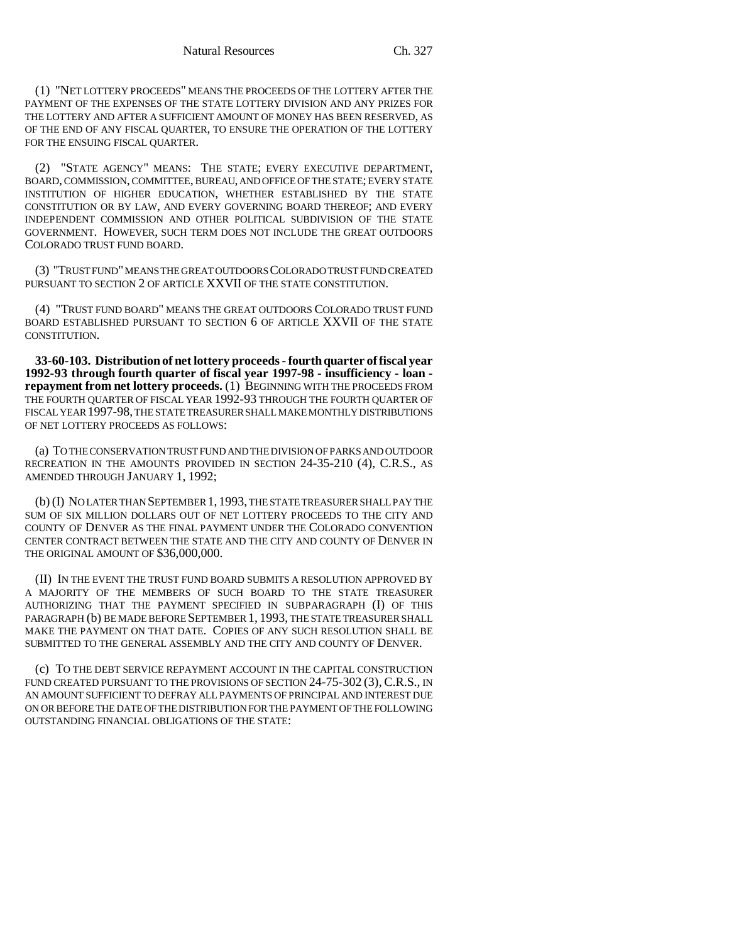(1) "NET LOTTERY PROCEEDS" MEANS THE PROCEEDS OF THE LOTTERY AFTER THE PAYMENT OF THE EXPENSES OF THE STATE LOTTERY DIVISION AND ANY PRIZES FOR THE LOTTERY AND AFTER A SUFFICIENT AMOUNT OF MONEY HAS BEEN RESERVED, AS OF THE END OF ANY FISCAL QUARTER, TO ENSURE THE OPERATION OF THE LOTTERY FOR THE ENSUING FISCAL OUARTER.

(2) "STATE AGENCY" MEANS: THE STATE; EVERY EXECUTIVE DEPARTMENT, BOARD, COMMISSION, COMMITTEE, BUREAU, AND OFFICE OF THE STATE; EVERY STATE INSTITUTION OF HIGHER EDUCATION, WHETHER ESTABLISHED BY THE STATE CONSTITUTION OR BY LAW, AND EVERY GOVERNING BOARD THEREOF; AND EVERY INDEPENDENT COMMISSION AND OTHER POLITICAL SUBDIVISION OF THE STATE GOVERNMENT. HOWEVER, SUCH TERM DOES NOT INCLUDE THE GREAT OUTDOORS COLORADO TRUST FUND BOARD.

(3) "TRUST FUND" MEANS THE GREAT OUTDOORS COLORADO TRUST FUND CREATED PURSUANT TO SECTION 2 OF ARTICLE XXVII OF THE STATE CONSTITUTION.

(4) "TRUST FUND BOARD" MEANS THE GREAT OUTDOORS COLORADO TRUST FUND BOARD ESTABLISHED PURSUANT TO SECTION 6 OF ARTICLE XXVII OF THE STATE CONSTITUTION

**33-60-103. Distribution of net lottery proceeds - fourth quarter of fiscal year 1992-93 through fourth quarter of fiscal year 1997-98 - insufficiency - loan repayment from net lottery proceeds.** (1) BEGINNING WITH THE PROCEEDS FROM THE FOURTH QUARTER OF FISCAL YEAR 1992-93 THROUGH THE FOURTH QUARTER OF FISCAL YEAR 1997-98, THE STATE TREASURER SHALL MAKE MONTHLY DISTRIBUTIONS OF NET LOTTERY PROCEEDS AS FOLLOWS:

(a) TO THE CONSERVATION TRUST FUND AND THE DIVISION OF PARKS AND OUTDOOR RECREATION IN THE AMOUNTS PROVIDED IN SECTION 24-35-210 (4), C.R.S., AS AMENDED THROUGH JANUARY 1, 1992;

(b) (I) NO LATER THAN SEPTEMBER 1, 1993, THE STATE TREASURER SHALL PAY THE SUM OF SIX MILLION DOLLARS OUT OF NET LOTTERY PROCEEDS TO THE CITY AND COUNTY OF DENVER AS THE FINAL PAYMENT UNDER THE COLORADO CONVENTION CENTER CONTRACT BETWEEN THE STATE AND THE CITY AND COUNTY OF DENVER IN THE ORIGINAL AMOUNT OF \$36,000,000.

(II) IN THE EVENT THE TRUST FUND BOARD SUBMITS A RESOLUTION APPROVED BY A MAJORITY OF THE MEMBERS OF SUCH BOARD TO THE STATE TREASURER AUTHORIZING THAT THE PAYMENT SPECIFIED IN SUBPARAGRAPH (I) OF THIS PARAGRAPH (b) BE MADE BEFORE SEPTEMBER 1, 1993, THE STATE TREASURER SHALL MAKE THE PAYMENT ON THAT DATE. COPIES OF ANY SUCH RESOLUTION SHALL BE SUBMITTED TO THE GENERAL ASSEMBLY AND THE CITY AND COUNTY OF DENVER.

(c) TO THE DEBT SERVICE REPAYMENT ACCOUNT IN THE CAPITAL CONSTRUCTION FUND CREATED PURSUANT TO THE PROVISIONS OF SECTION 24-75-302 (3), C.R.S., IN AN AMOUNT SUFFICIENT TO DEFRAY ALL PAYMENTS OF PRINCIPAL AND INTEREST DUE ON OR BEFORE THE DATE OF THE DISTRIBUTION FOR THE PAYMENT OF THE FOLLOWING OUTSTANDING FINANCIAL OBLIGATIONS OF THE STATE: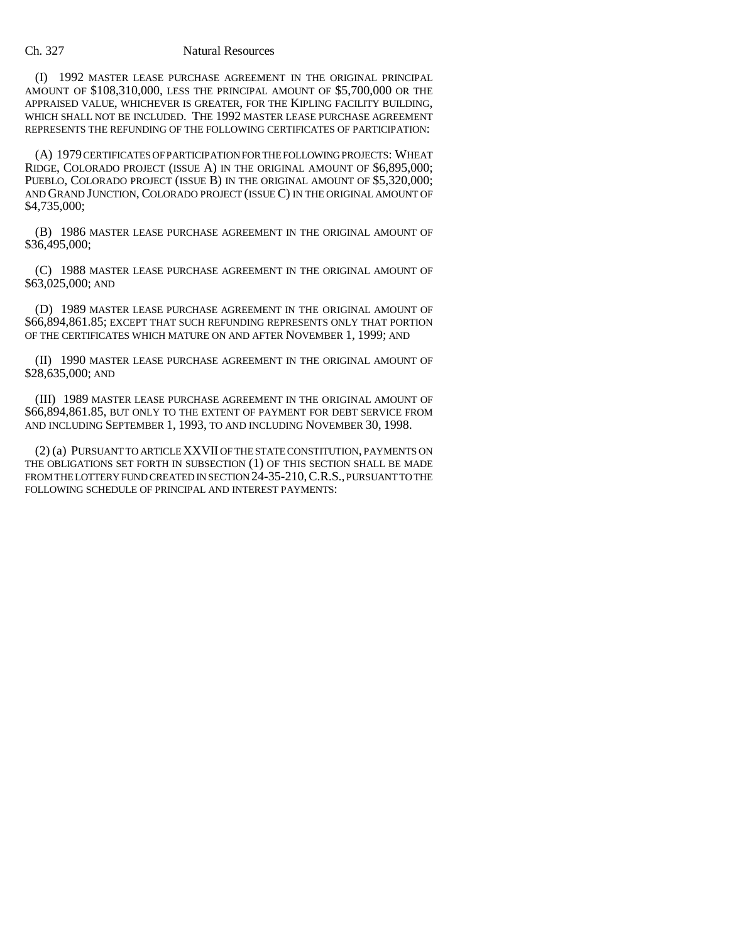(I) 1992 MASTER LEASE PURCHASE AGREEMENT IN THE ORIGINAL PRINCIPAL AMOUNT OF \$108,310,000, LESS THE PRINCIPAL AMOUNT OF \$5,700,000 OR THE APPRAISED VALUE, WHICHEVER IS GREATER, FOR THE KIPLING FACILITY BUILDING, WHICH SHALL NOT BE INCLUDED. THE 1992 MASTER LEASE PURCHASE AGREEMENT REPRESENTS THE REFUNDING OF THE FOLLOWING CERTIFICATES OF PARTICIPATION:

(A) 1979 CERTIFICATES OF PARTICIPATION FOR THE FOLLOWING PROJECTS: WHEAT RIDGE, COLORADO PROJECT (ISSUE A) IN THE ORIGINAL AMOUNT OF \$6,895,000; PUEBLO, COLORADO PROJECT (ISSUE B) IN THE ORIGINAL AMOUNT OF \$5,320,000; AND GRAND JUNCTION, COLORADO PROJECT (ISSUE C) IN THE ORIGINAL AMOUNT OF \$4,735,000;

(B) 1986 MASTER LEASE PURCHASE AGREEMENT IN THE ORIGINAL AMOUNT OF \$36,495,000;

(C) 1988 MASTER LEASE PURCHASE AGREEMENT IN THE ORIGINAL AMOUNT OF \$63,025,000; AND

(D) 1989 MASTER LEASE PURCHASE AGREEMENT IN THE ORIGINAL AMOUNT OF \$66,894,861.85; EXCEPT THAT SUCH REFUNDING REPRESENTS ONLY THAT PORTION OF THE CERTIFICATES WHICH MATURE ON AND AFTER NOVEMBER 1, 1999; AND

(II) 1990 MASTER LEASE PURCHASE AGREEMENT IN THE ORIGINAL AMOUNT OF \$28,635,000; AND

(III) 1989 MASTER LEASE PURCHASE AGREEMENT IN THE ORIGINAL AMOUNT OF \$66,894,861.85, BUT ONLY TO THE EXTENT OF PAYMENT FOR DEBT SERVICE FROM AND INCLUDING SEPTEMBER 1, 1993, TO AND INCLUDING NOVEMBER 30, 1998.

(2) (a) PURSUANT TO ARTICLE XXVII OF THE STATE CONSTITUTION, PAYMENTS ON THE OBLIGATIONS SET FORTH IN SUBSECTION (1) OF THIS SECTION SHALL BE MADE FROM THE LOTTERY FUND CREATED IN SECTION 24-35-210, C.R.S., PURSUANT TO THE FOLLOWING SCHEDULE OF PRINCIPAL AND INTEREST PAYMENTS: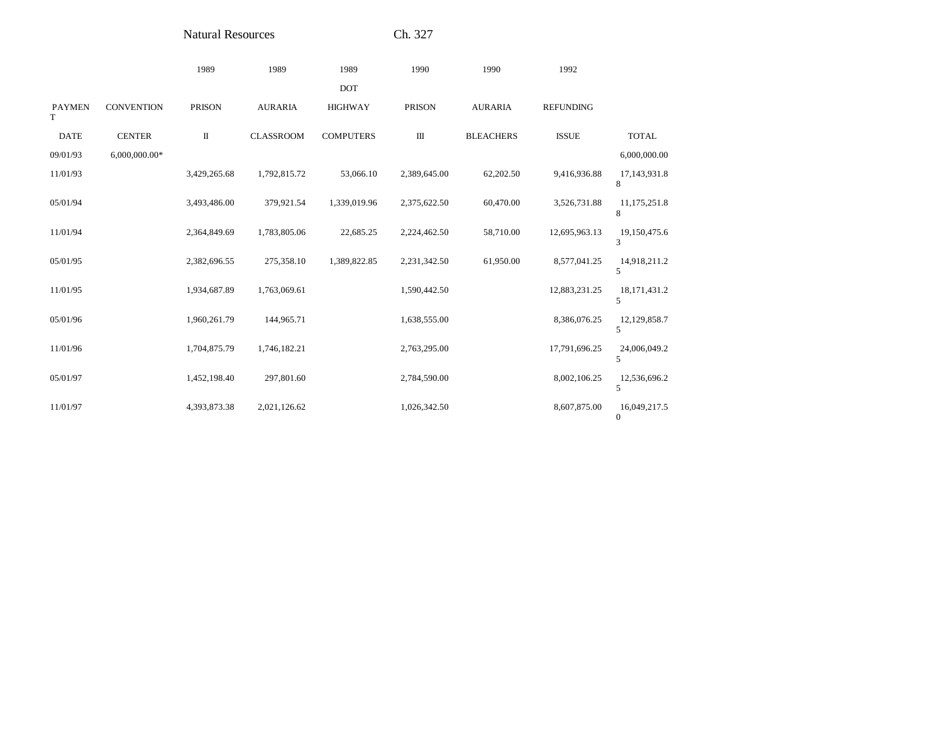Natural Resources

Ch. 327

|                    |                   | 1989          | 1989             | 1989             | 1990          | 1990             | 1992             |                              |
|--------------------|-------------------|---------------|------------------|------------------|---------------|------------------|------------------|------------------------------|
|                    |                   |               |                  | <b>DOT</b>       |               |                  |                  |                              |
| <b>PAYMEN</b><br>T | <b>CONVENTION</b> | <b>PRISON</b> | <b>AURARIA</b>   | <b>HIGHWAY</b>   | <b>PRISON</b> | <b>AURARIA</b>   | <b>REFUNDING</b> |                              |
| <b>DATE</b>        | <b>CENTER</b>     | $\rm II$      | <b>CLASSROOM</b> | <b>COMPUTERS</b> | Ш             | <b>BLEACHERS</b> | <b>ISSUE</b>     | <b>TOTAL</b>                 |
| 09/01/93           | 6,000,000.00*     |               |                  |                  |               |                  |                  | 6,000,000.00                 |
| 11/01/93           |                   | 3,429,265.68  | 1,792,815.72     | 53,066.10        | 2,389,645.00  | 62,202.50        | 9,416,936.88     | 17,143,931.8<br>8            |
| 05/01/94           |                   | 3,493,486.00  | 379,921.54       | 1,339,019.96     | 2,375,622.50  | 60,470.00        | 3,526,731.88     | 11,175,251.8<br>8            |
| 11/01/94           |                   | 2,364,849.69  | 1,783,805.06     | 22,685.25        | 2,224,462.50  | 58,710.00        | 12,695,963.13    | 19,150,475.6<br>3            |
| 05/01/95           |                   | 2,382,696.55  | 275,358.10       | 1,389,822.85     | 2,231,342.50  | 61,950.00        | 8,577,041.25     | 14,918,211.2<br>5            |
| 11/01/95           |                   | 1,934,687.89  | 1,763,069.61     |                  | 1,590,442.50  |                  | 12,883,231.25    | 18, 171, 431.2<br>5          |
| 05/01/96           |                   | 1,960,261.79  | 144,965.71       |                  | 1,638,555.00  |                  | 8,386,076.25     | 12,129,858.7<br>5            |
| 11/01/96           |                   | 1,704,875.79  | 1,746,182.21     |                  | 2,763,295.00  |                  | 17,791,696.25    | 24,006,049.2<br>5            |
| 05/01/97           |                   | 1,452,198.40  | 297,801.60       |                  | 2,784,590.00  |                  | 8,002,106.25     | 12,536,696.2<br>5            |
| 11/01/97           |                   | 4,393,873.38  | 2,021,126.62     |                  | 1,026,342.50  |                  | 8,607,875.00     | 16,049,217.5<br>$\mathbf{0}$ |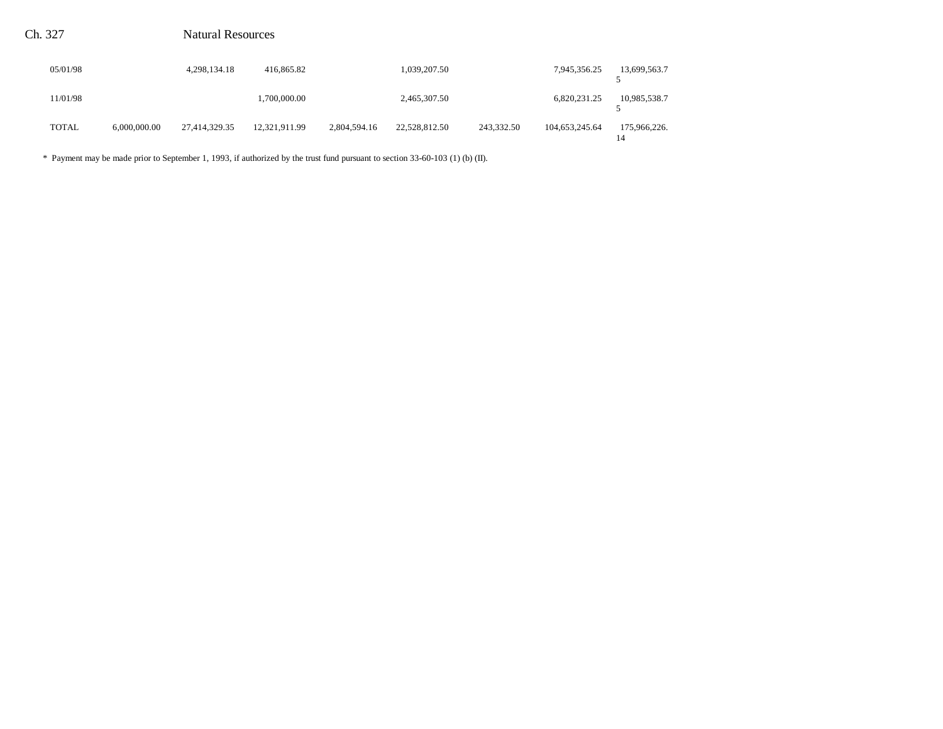| 05/01/98 |              | 4,298,134.18  | 416,865.82    |              | 1,039,207.50  |            | 7,945,356.25   | 13,699,563.7 |
|----------|--------------|---------------|---------------|--------------|---------------|------------|----------------|--------------|
| 11/01/98 |              |               | 1.700.000.00  |              | 2,465,307.50  |            | 6,820,231.25   | 10,985,538.7 |
| TOTAL    | 6,000,000,00 | 27,414,329.35 | 12,321,911.99 | 2,804,594.16 | 22,528,812.50 | 243,332.50 | 104,653,245.64 | 175,966,226. |

\* Payment may be made prior to September 1, 1993, if authorized by the trust fund pursuant to section 33-60-103 (1) (b) (II).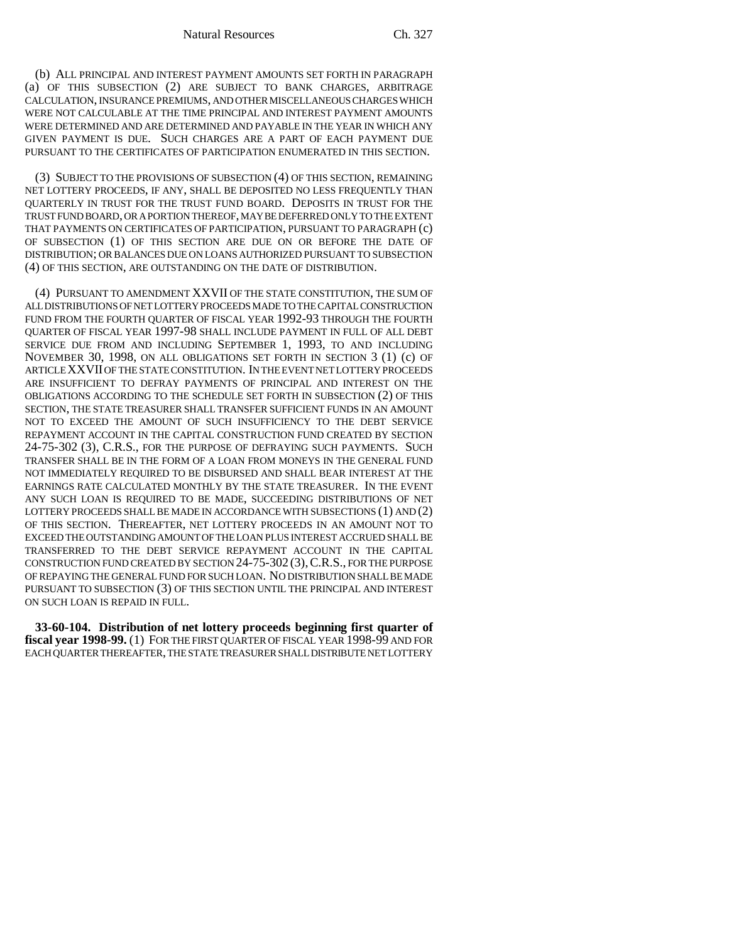(b) ALL PRINCIPAL AND INTEREST PAYMENT AMOUNTS SET FORTH IN PARAGRAPH (a) OF THIS SUBSECTION (2) ARE SUBJECT TO BANK CHARGES, ARBITRAGE CALCULATION, INSURANCE PREMIUMS, AND OTHER MISCELLANEOUS CHARGES WHICH WERE NOT CALCULABLE AT THE TIME PRINCIPAL AND INTEREST PAYMENT AMOUNTS WERE DETERMINED AND ARE DETERMINED AND PAYABLE IN THE YEAR IN WHICH ANY GIVEN PAYMENT IS DUE. SUCH CHARGES ARE A PART OF EACH PAYMENT DUE PURSUANT TO THE CERTIFICATES OF PARTICIPATION ENUMERATED IN THIS SECTION.

(3) SUBJECT TO THE PROVISIONS OF SUBSECTION (4) OF THIS SECTION, REMAINING NET LOTTERY PROCEEDS, IF ANY, SHALL BE DEPOSITED NO LESS FREQUENTLY THAN QUARTERLY IN TRUST FOR THE TRUST FUND BOARD. DEPOSITS IN TRUST FOR THE TRUST FUND BOARD, OR A PORTION THEREOF, MAY BE DEFERRED ONLY TO THE EXTENT THAT PAYMENTS ON CERTIFICATES OF PARTICIPATION, PURSUANT TO PARAGRAPH (c) OF SUBSECTION (1) OF THIS SECTION ARE DUE ON OR BEFORE THE DATE OF DISTRIBUTION; OR BALANCES DUE ON LOANS AUTHORIZED PURSUANT TO SUBSECTION (4) OF THIS SECTION, ARE OUTSTANDING ON THE DATE OF DISTRIBUTION.

(4) PURSUANT TO AMENDMENT XXVII OF THE STATE CONSTITUTION, THE SUM OF ALL DISTRIBUTIONS OF NET LOTTERY PROCEEDS MADE TO THE CAPITAL CONSTRUCTION FUND FROM THE FOURTH QUARTER OF FISCAL YEAR 1992-93 THROUGH THE FOURTH QUARTER OF FISCAL YEAR 1997-98 SHALL INCLUDE PAYMENT IN FULL OF ALL DEBT SERVICE DUE FROM AND INCLUDING SEPTEMBER 1, 1993, TO AND INCLUDING NOVEMBER 30, 1998, ON ALL OBLIGATIONS SET FORTH IN SECTION 3 (1) (c) OF ARTICLE XXVII OF THE STATE CONSTITUTION. IN THE EVENT NET LOTTERY PROCEEDS ARE INSUFFICIENT TO DEFRAY PAYMENTS OF PRINCIPAL AND INTEREST ON THE OBLIGATIONS ACCORDING TO THE SCHEDULE SET FORTH IN SUBSECTION (2) OF THIS SECTION, THE STATE TREASURER SHALL TRANSFER SUFFICIENT FUNDS IN AN AMOUNT NOT TO EXCEED THE AMOUNT OF SUCH INSUFFICIENCY TO THE DEBT SERVICE REPAYMENT ACCOUNT IN THE CAPITAL CONSTRUCTION FUND CREATED BY SECTION 24-75-302 (3), C.R.S., FOR THE PURPOSE OF DEFRAYING SUCH PAYMENTS. SUCH TRANSFER SHALL BE IN THE FORM OF A LOAN FROM MONEYS IN THE GENERAL FUND NOT IMMEDIATELY REQUIRED TO BE DISBURSED AND SHALL BEAR INTEREST AT THE EARNINGS RATE CALCULATED MONTHLY BY THE STATE TREASURER. IN THE EVENT ANY SUCH LOAN IS REQUIRED TO BE MADE, SUCCEEDING DISTRIBUTIONS OF NET LOTTERY PROCEEDS SHALL BE MADE IN ACCORDANCE WITH SUBSECTIONS (1) AND (2) OF THIS SECTION. THEREAFTER, NET LOTTERY PROCEEDS IN AN AMOUNT NOT TO EXCEED THE OUTSTANDING AMOUNT OF THE LOAN PLUS INTEREST ACCRUED SHALL BE TRANSFERRED TO THE DEBT SERVICE REPAYMENT ACCOUNT IN THE CAPITAL CONSTRUCTION FUND CREATED BY SECTION 24-75-302 (3),C.R.S., FOR THE PURPOSE OF REPAYING THE GENERAL FUND FOR SUCH LOAN. NO DISTRIBUTION SHALL BE MADE PURSUANT TO SUBSECTION (3) OF THIS SECTION UNTIL THE PRINCIPAL AND INTEREST ON SUCH LOAN IS REPAID IN FULL.

**33-60-104. Distribution of net lottery proceeds beginning first quarter of fiscal year 1998-99.** (1) FOR THE FIRST QUARTER OF FISCAL YEAR 1998-99 AND FOR EACH QUARTER THEREAFTER, THE STATE TREASURER SHALL DISTRIBUTE NET LOTTERY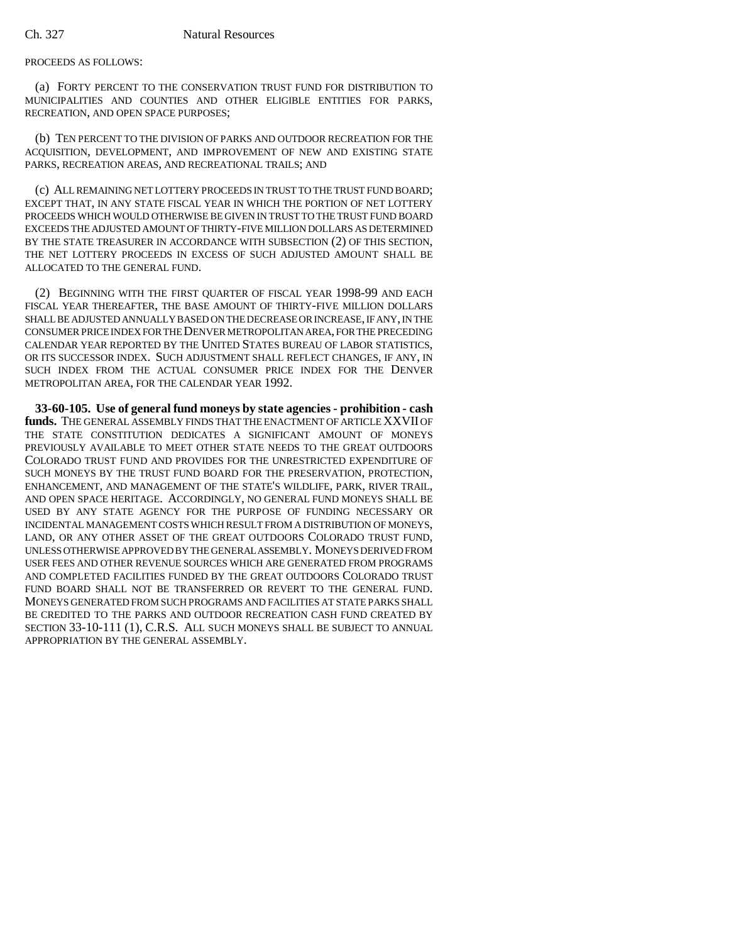### PROCEEDS AS FOLLOWS:

(a) FORTY PERCENT TO THE CONSERVATION TRUST FUND FOR DISTRIBUTION TO MUNICIPALITIES AND COUNTIES AND OTHER ELIGIBLE ENTITIES FOR PARKS, RECREATION, AND OPEN SPACE PURPOSES;

(b) TEN PERCENT TO THE DIVISION OF PARKS AND OUTDOOR RECREATION FOR THE ACQUISITION, DEVELOPMENT, AND IMPROVEMENT OF NEW AND EXISTING STATE PARKS, RECREATION AREAS, AND RECREATIONAL TRAILS; AND

(c) ALL REMAINING NET LOTTERY PROCEEDS IN TRUST TO THE TRUST FUND BOARD; EXCEPT THAT, IN ANY STATE FISCAL YEAR IN WHICH THE PORTION OF NET LOTTERY PROCEEDS WHICH WOULD OTHERWISE BE GIVEN IN TRUST TO THE TRUST FUND BOARD EXCEEDS THE ADJUSTED AMOUNT OF THIRTY-FIVE MILLION DOLLARS AS DETERMINED BY THE STATE TREASURER IN ACCORDANCE WITH SUBSECTION (2) OF THIS SECTION, THE NET LOTTERY PROCEEDS IN EXCESS OF SUCH ADJUSTED AMOUNT SHALL BE ALLOCATED TO THE GENERAL FUND.

(2) BEGINNING WITH THE FIRST QUARTER OF FISCAL YEAR 1998-99 AND EACH FISCAL YEAR THEREAFTER, THE BASE AMOUNT OF THIRTY-FIVE MILLION DOLLARS SHALL BE ADJUSTED ANNUALLY BASED ON THE DECREASE OR INCREASE, IF ANY, IN THE CONSUMER PRICE INDEX FOR THE DENVER METROPOLITAN AREA, FOR THE PRECEDING CALENDAR YEAR REPORTED BY THE UNITED STATES BUREAU OF LABOR STATISTICS, OR ITS SUCCESSOR INDEX. SUCH ADJUSTMENT SHALL REFLECT CHANGES, IF ANY, IN SUCH INDEX FROM THE ACTUAL CONSUMER PRICE INDEX FOR THE DENVER METROPOLITAN AREA, FOR THE CALENDAR YEAR 1992.

**33-60-105. Use of general fund moneys by state agencies - prohibition - cash funds.** THE GENERAL ASSEMBLY FINDS THAT THE ENACTMENT OF ARTICLE XXVII OF THE STATE CONSTITUTION DEDICATES A SIGNIFICANT AMOUNT OF MONEYS PREVIOUSLY AVAILABLE TO MEET OTHER STATE NEEDS TO THE GREAT OUTDOORS COLORADO TRUST FUND AND PROVIDES FOR THE UNRESTRICTED EXPENDITURE OF SUCH MONEYS BY THE TRUST FUND BOARD FOR THE PRESERVATION, PROTECTION, ENHANCEMENT, AND MANAGEMENT OF THE STATE'S WILDLIFE, PARK, RIVER TRAIL, AND OPEN SPACE HERITAGE. ACCORDINGLY, NO GENERAL FUND MONEYS SHALL BE USED BY ANY STATE AGENCY FOR THE PURPOSE OF FUNDING NECESSARY OR INCIDENTAL MANAGEMENT COSTS WHICH RESULT FROM A DISTRIBUTION OF MONEYS, LAND, OR ANY OTHER ASSET OF THE GREAT OUTDOORS COLORADO TRUST FUND, UNLESS OTHERWISE APPROVED BY THE GENERAL ASSEMBLY. MONEYS DERIVED FROM USER FEES AND OTHER REVENUE SOURCES WHICH ARE GENERATED FROM PROGRAMS AND COMPLETED FACILITIES FUNDED BY THE GREAT OUTDOORS COLORADO TRUST FUND BOARD SHALL NOT BE TRANSFERRED OR REVERT TO THE GENERAL FUND. MONEYS GENERATED FROM SUCH PROGRAMS AND FACILITIES AT STATE PARKS SHALL BE CREDITED TO THE PARKS AND OUTDOOR RECREATION CASH FUND CREATED BY SECTION 33-10-111 (1), C.R.S. ALL SUCH MONEYS SHALL BE SUBJECT TO ANNUAL APPROPRIATION BY THE GENERAL ASSEMBLY.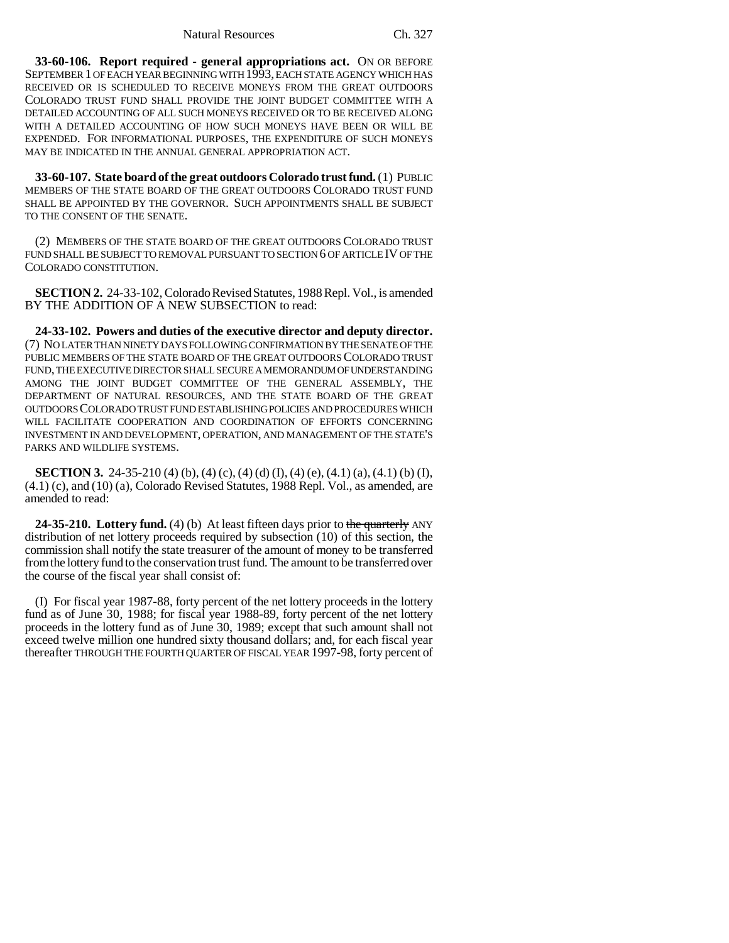**33-60-106. Report required - general appropriations act.** ON OR BEFORE SEPTEMBER 1 OF EACH YEAR BEGINNING WITH 1993, EACH STATE AGENCY WHICH HAS RECEIVED OR IS SCHEDULED TO RECEIVE MONEYS FROM THE GREAT OUTDOORS COLORADO TRUST FUND SHALL PROVIDE THE JOINT BUDGET COMMITTEE WITH A DETAILED ACCOUNTING OF ALL SUCH MONEYS RECEIVED OR TO BE RECEIVED ALONG WITH A DETAILED ACCOUNTING OF HOW SUCH MONEYS HAVE BEEN OR WILL BE EXPENDED. FOR INFORMATIONAL PURPOSES, THE EXPENDITURE OF SUCH MONEYS MAY BE INDICATED IN THE ANNUAL GENERAL APPROPRIATION ACT.

**33-60-107. State board of the great outdoors Colorado trust fund.** (1) PUBLIC MEMBERS OF THE STATE BOARD OF THE GREAT OUTDOORS COLORADO TRUST FUND SHALL BE APPOINTED BY THE GOVERNOR. SUCH APPOINTMENTS SHALL BE SUBJECT TO THE CONSENT OF THE SENATE.

(2) MEMBERS OF THE STATE BOARD OF THE GREAT OUTDOORS COLORADO TRUST FUND SHALL BE SUBJECT TO REMOVAL PURSUANT TO SECTION 6 OF ARTICLE IV OF THE COLORADO CONSTITUTION.

**SECTION 2.** 24-33-102, Colorado Revised Statutes, 1988 Repl. Vol., is amended BY THE ADDITION OF A NEW SUBSECTION to read:

**24-33-102. Powers and duties of the executive director and deputy director.** (7) NO LATER THAN NINETY DAYS FOLLOWING CONFIRMATION BY THE SENATE OF THE PUBLIC MEMBERS OF THE STATE BOARD OF THE GREAT OUTDOORS COLORADO TRUST FUND, THE EXECUTIVE DIRECTOR SHALL SECURE A MEMORANDUM OF UNDERSTANDING AMONG THE JOINT BUDGET COMMITTEE OF THE GENERAL ASSEMBLY, THE DEPARTMENT OF NATURAL RESOURCES, AND THE STATE BOARD OF THE GREAT OUTDOORS COLORADO TRUST FUND ESTABLISHING POLICIES AND PROCEDURES WHICH WILL FACILITATE COOPERATION AND COORDINATION OF EFFORTS CONCERNING INVESTMENT IN AND DEVELOPMENT, OPERATION, AND MANAGEMENT OF THE STATE'S PARKS AND WILDLIFE SYSTEMS.

**SECTION 3.** 24-35-210 (4) (b), (4) (c), (4) (d) (I), (4) (e), (4.1) (a), (4.1) (b) (I), (4.1) (c), and (10) (a), Colorado Revised Statutes, 1988 Repl. Vol., as amended, are amended to read:

**24-35-210.** Lottery fund. (4) (b) At least fifteen days prior to the quarterly ANY distribution of net lottery proceeds required by subsection (10) of this section, the commission shall notify the state treasurer of the amount of money to be transferred from the lottery fund to the conservation trust fund. The amount to be transferred over the course of the fiscal year shall consist of:

(I) For fiscal year 1987-88, forty percent of the net lottery proceeds in the lottery fund as of June 30, 1988; for fiscal year 1988-89, forty percent of the net lottery proceeds in the lottery fund as of June 30, 1989; except that such amount shall not exceed twelve million one hundred sixty thousand dollars; and, for each fiscal year thereafter THROUGH THE FOURTH QUARTER OF FISCAL YEAR 1997-98, forty percent of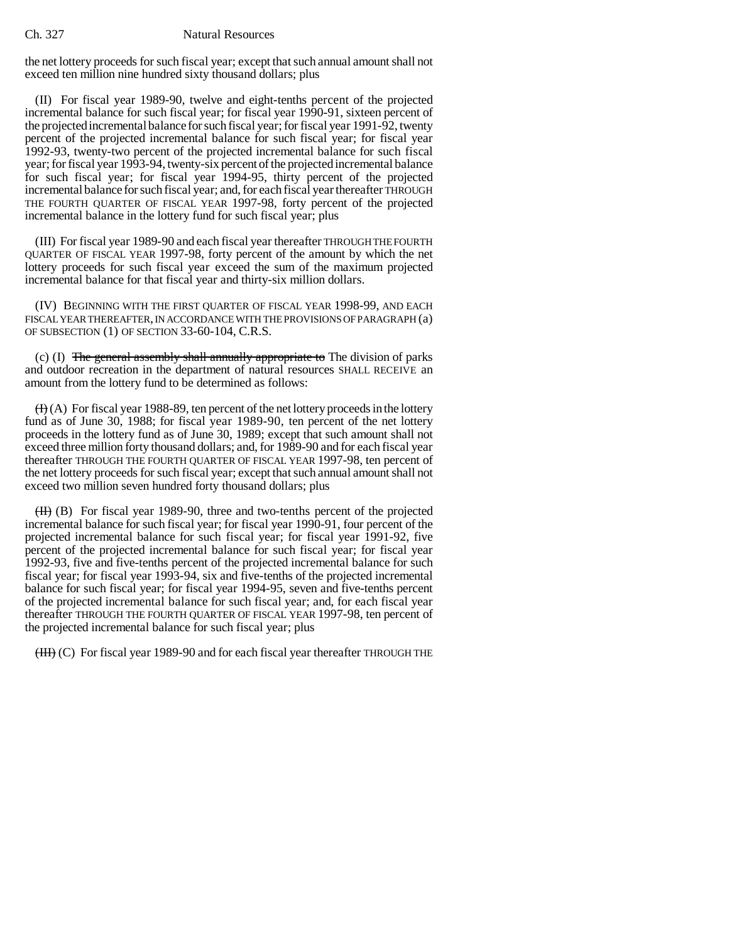the net lottery proceeds for such fiscal year; except that such annual amount shall not exceed ten million nine hundred sixty thousand dollars; plus

(II) For fiscal year 1989-90, twelve and eight-tenths percent of the projected incremental balance for such fiscal year; for fiscal year 1990-91, sixteen percent of the projected incremental balance for such fiscal year; for fiscal year 1991-92, twenty percent of the projected incremental balance for such fiscal year; for fiscal year 1992-93, twenty-two percent of the projected incremental balance for such fiscal year; for fiscal year 1993-94, twenty-six percent of the projected incremental balance for such fiscal year; for fiscal year 1994-95, thirty percent of the projected incremental balance for such fiscal year; and, for each fiscal year thereafter THROUGH THE FOURTH QUARTER OF FISCAL YEAR 1997-98, forty percent of the projected incremental balance in the lottery fund for such fiscal year; plus

(III) For fiscal year 1989-90 and each fiscal year thereafter THROUGH THE FOURTH QUARTER OF FISCAL YEAR 1997-98, forty percent of the amount by which the net lottery proceeds for such fiscal year exceed the sum of the maximum projected incremental balance for that fiscal year and thirty-six million dollars.

(IV) BEGINNING WITH THE FIRST QUARTER OF FISCAL YEAR 1998-99, AND EACH FISCAL YEAR THEREAFTER, IN ACCORDANCE WITH THE PROVISIONS OF PARAGRAPH (a) OF SUBSECTION (1) OF SECTION 33-60-104, C.R.S.

(c) (I) The general assembly shall annually appropriate to The division of parks and outdoor recreation in the department of natural resources SHALL RECEIVE an amount from the lottery fund to be determined as follows:

 $(H)(A)$  For fiscal year 1988-89, ten percent of the net lottery proceeds in the lottery fund as of June 30, 1988; for fiscal year 1989-90, ten percent of the net lottery proceeds in the lottery fund as of June 30, 1989; except that such amount shall not exceed three million forty thousand dollars; and, for 1989-90 and for each fiscal year thereafter THROUGH THE FOURTH QUARTER OF FISCAL YEAR 1997-98, ten percent of the net lottery proceeds for such fiscal year; except that such annual amount shall not exceed two million seven hundred forty thousand dollars; plus

 $(H)$  (B) For fiscal year 1989-90, three and two-tenths percent of the projected incremental balance for such fiscal year; for fiscal year 1990-91, four percent of the projected incremental balance for such fiscal year; for fiscal year 1991-92, five percent of the projected incremental balance for such fiscal year; for fiscal year 1992-93, five and five-tenths percent of the projected incremental balance for such fiscal year; for fiscal year 1993-94, six and five-tenths of the projected incremental balance for such fiscal year; for fiscal year 1994-95, seven and five-tenths percent of the projected incremental balance for such fiscal year; and, for each fiscal year thereafter THROUGH THE FOURTH QUARTER OF FISCAL YEAR 1997-98, ten percent of the projected incremental balance for such fiscal year; plus

(III) (C) For fiscal year 1989-90 and for each fiscal year thereafter THROUGH THE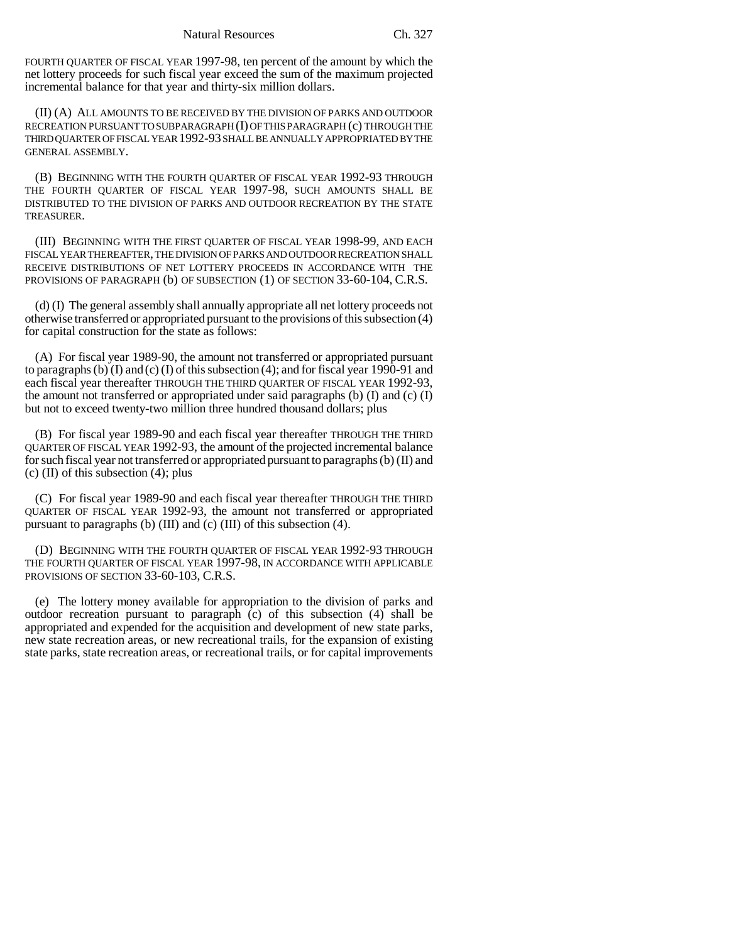FOURTH QUARTER OF FISCAL YEAR 1997-98, ten percent of the amount by which the net lottery proceeds for such fiscal year exceed the sum of the maximum projected incremental balance for that year and thirty-six million dollars.

(II) (A) ALL AMOUNTS TO BE RECEIVED BY THE DIVISION OF PARKS AND OUTDOOR RECREATION PURSUANT TO SUBPARAGRAPH (I) OF THIS PARAGRAPH (c) THROUGH THE THIRD QUARTER OF FISCAL YEAR 1992-93 SHALL BE ANNUALLY APPROPRIATED BY THE GENERAL ASSEMBLY.

(B) BEGINNING WITH THE FOURTH QUARTER OF FISCAL YEAR 1992-93 THROUGH THE FOURTH QUARTER OF FISCAL YEAR 1997-98, SUCH AMOUNTS SHALL BE DISTRIBUTED TO THE DIVISION OF PARKS AND OUTDOOR RECREATION BY THE STATE TREASURER.

(III) BEGINNING WITH THE FIRST QUARTER OF FISCAL YEAR 1998-99, AND EACH FISCAL YEAR THEREAFTER, THE DIVISION OF PARKS AND OUTDOOR RECREATION SHALL RECEIVE DISTRIBUTIONS OF NET LOTTERY PROCEEDS IN ACCORDANCE WITH THE PROVISIONS OF PARAGRAPH (b) OF SUBSECTION (1) OF SECTION 33-60-104, C.R.S.

(d) (I) The general assembly shall annually appropriate all net lottery proceeds not otherwise transferred or appropriated pursuant to the provisions of this subsection (4) for capital construction for the state as follows:

(A) For fiscal year 1989-90, the amount not transferred or appropriated pursuant to paragraphs (b) (I) and (c) (I) of this subsection (4); and for fiscal year 1990-91 and each fiscal year thereafter THROUGH THE THIRD QUARTER OF FISCAL YEAR 1992-93, the amount not transferred or appropriated under said paragraphs (b)  $(I)$  and  $(c)$   $(I)$ but not to exceed twenty-two million three hundred thousand dollars; plus

(B) For fiscal year 1989-90 and each fiscal year thereafter THROUGH THE THIRD QUARTER OF FISCAL YEAR 1992-93, the amount of the projected incremental balance for such fiscal year not transferred or appropriated pursuant to paragraphs (b) (II) and  $(c)$  (II) of this subsection (4); plus

(C) For fiscal year 1989-90 and each fiscal year thereafter THROUGH THE THIRD QUARTER OF FISCAL YEAR 1992-93, the amount not transferred or appropriated pursuant to paragraphs (b) (III) and (c) (III) of this subsection (4).

(D) BEGINNING WITH THE FOURTH QUARTER OF FISCAL YEAR 1992-93 THROUGH THE FOURTH QUARTER OF FISCAL YEAR 1997-98, IN ACCORDANCE WITH APPLICABLE PROVISIONS OF SECTION 33-60-103, C.R.S.

(e) The lottery money available for appropriation to the division of parks and outdoor recreation pursuant to paragraph (c) of this subsection (4) shall be appropriated and expended for the acquisition and development of new state parks, new state recreation areas, or new recreational trails, for the expansion of existing state parks, state recreation areas, or recreational trails, or for capital improvements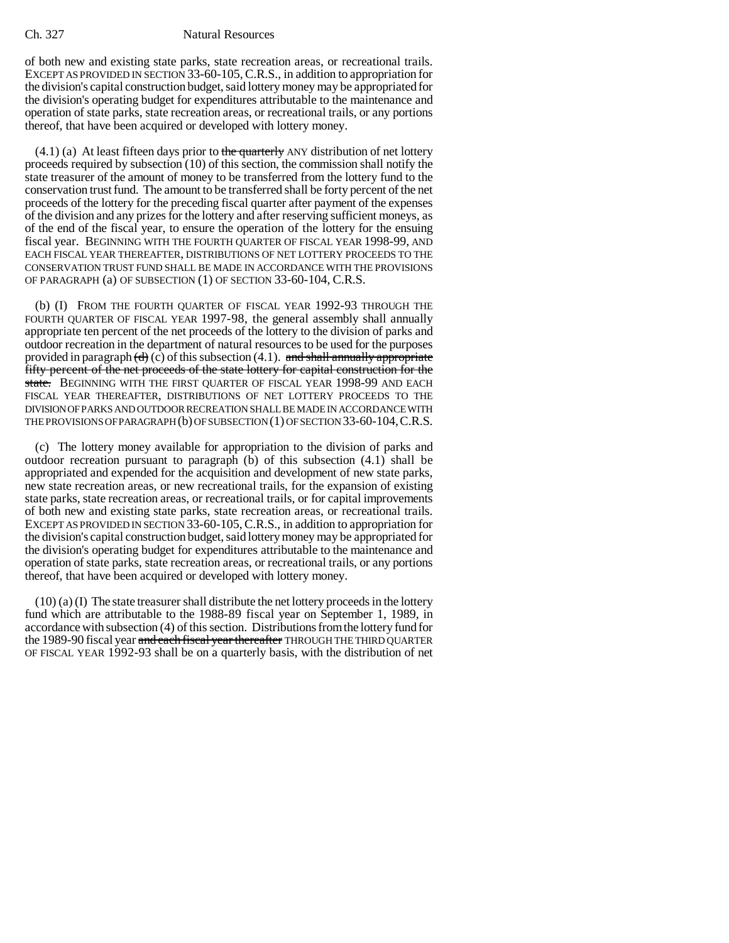of both new and existing state parks, state recreation areas, or recreational trails. EXCEPT AS PROVIDED IN SECTION 33-60-105,C.R.S., in addition to appropriation for the division's capital construction budget, said lottery money may be appropriated for the division's operating budget for expenditures attributable to the maintenance and operation of state parks, state recreation areas, or recreational trails, or any portions thereof, that have been acquired or developed with lottery money.

 $(4.1)$  (a) At least fifteen days prior to the quarterly ANY distribution of net lottery proceeds required by subsection (10) of this section, the commission shall notify the state treasurer of the amount of money to be transferred from the lottery fund to the conservation trust fund. The amount to be transferred shall be forty percent of the net proceeds of the lottery for the preceding fiscal quarter after payment of the expenses of the division and any prizes for the lottery and after reserving sufficient moneys, as of the end of the fiscal year, to ensure the operation of the lottery for the ensuing fiscal year. BEGINNING WITH THE FOURTH QUARTER OF FISCAL YEAR 1998-99, AND EACH FISCAL YEAR THEREAFTER, DISTRIBUTIONS OF NET LOTTERY PROCEEDS TO THE CONSERVATION TRUST FUND SHALL BE MADE IN ACCORDANCE WITH THE PROVISIONS OF PARAGRAPH (a) OF SUBSECTION (1) OF SECTION 33-60-104, C.R.S.

(b) (I) FROM THE FOURTH QUARTER OF FISCAL YEAR 1992-93 THROUGH THE FOURTH QUARTER OF FISCAL YEAR 1997-98, the general assembly shall annually appropriate ten percent of the net proceeds of the lottery to the division of parks and outdoor recreation in the department of natural resources to be used for the purposes provided in paragraph  $(d)$  (c) of this subsection (4.1). and shall annually appropriate fifty percent of the net proceeds of the state lottery for capital construction for the state. BEGINNING WITH THE FIRST QUARTER OF FISCAL YEAR 1998-99 AND EACH FISCAL YEAR THEREAFTER, DISTRIBUTIONS OF NET LOTTERY PROCEEDS TO THE DIVISION OF PARKS AND OUTDOOR RECREATION SHALL BE MADE IN ACCORDANCE WITH THE PROVISIONS OF PARAGRAPH (b) OF SUBSECTION (1) OF SECTION 33-60-104,C.R.S.

(c) The lottery money available for appropriation to the division of parks and outdoor recreation pursuant to paragraph  $(b)$  of this subsection  $(4.1)$  shall be appropriated and expended for the acquisition and development of new state parks, new state recreation areas, or new recreational trails, for the expansion of existing state parks, state recreation areas, or recreational trails, or for capital improvements of both new and existing state parks, state recreation areas, or recreational trails. EXCEPT AS PROVIDED IN SECTION 33-60-105,C.R.S., in addition to appropriation for the division's capital construction budget, said lottery money may be appropriated for the division's operating budget for expenditures attributable to the maintenance and operation of state parks, state recreation areas, or recreational trails, or any portions thereof, that have been acquired or developed with lottery money.

(10) (a) (I) The state treasurer shall distribute the net lottery proceeds in the lottery fund which are attributable to the 1988-89 fiscal year on September 1, 1989, in accordance with subsection (4) of this section. Distributions from the lottery fund for the 1989-90 fiscal year and each fiscal year thereafter THROUGH THE THIRD QUARTER OF FISCAL YEAR 1992-93 shall be on a quarterly basis, with the distribution of net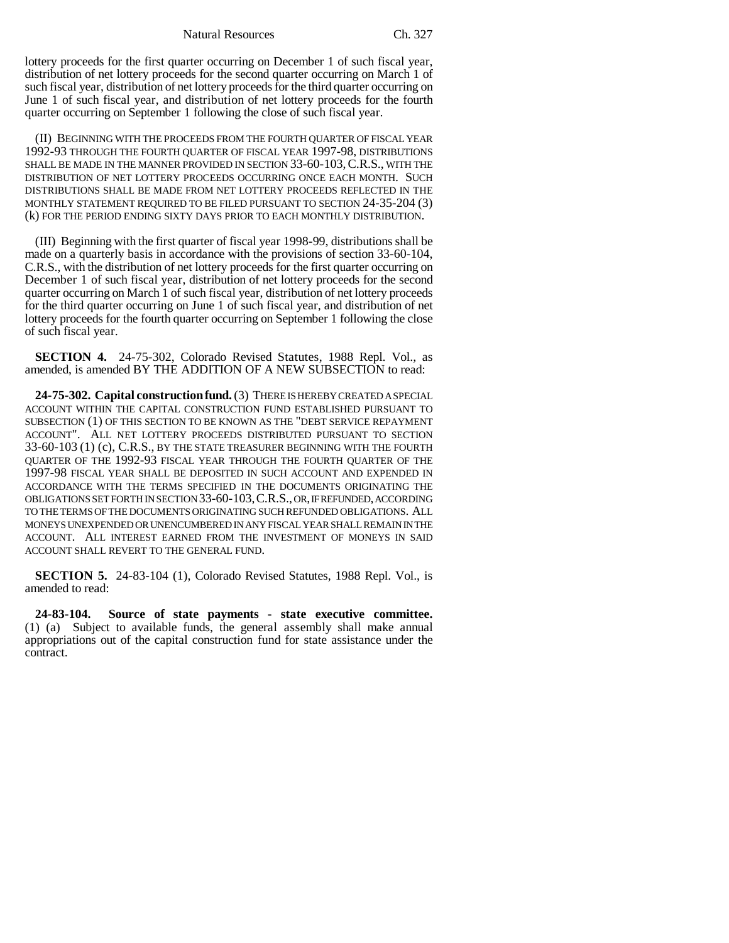Natural Resources Ch. 327

lottery proceeds for the first quarter occurring on December 1 of such fiscal year, distribution of net lottery proceeds for the second quarter occurring on March 1 of such fiscal year, distribution of net lottery proceeds for the third quarter occurring on June 1 of such fiscal year, and distribution of net lottery proceeds for the fourth quarter occurring on September 1 following the close of such fiscal year.

(II) BEGINNING WITH THE PROCEEDS FROM THE FOURTH QUARTER OF FISCAL YEAR 1992-93 THROUGH THE FOURTH QUARTER OF FISCAL YEAR 1997-98, DISTRIBUTIONS SHALL BE MADE IN THE MANNER PROVIDED IN SECTION 33-60-103, C.R.S., WITH THE DISTRIBUTION OF NET LOTTERY PROCEEDS OCCURRING ONCE EACH MONTH. SUCH DISTRIBUTIONS SHALL BE MADE FROM NET LOTTERY PROCEEDS REFLECTED IN THE MONTHLY STATEMENT REQUIRED TO BE FILED PURSUANT TO SECTION 24-35-204 (3) (k) FOR THE PERIOD ENDING SIXTY DAYS PRIOR TO EACH MONTHLY DISTRIBUTION.

(III) Beginning with the first quarter of fiscal year 1998-99, distributions shall be made on a quarterly basis in accordance with the provisions of section 33-60-104, C.R.S., with the distribution of net lottery proceeds for the first quarter occurring on December 1 of such fiscal year, distribution of net lottery proceeds for the second quarter occurring on March 1 of such fiscal year, distribution of net lottery proceeds for the third quarter occurring on June 1 of such fiscal year, and distribution of net lottery proceeds for the fourth quarter occurring on September 1 following the close of such fiscal year.

**SECTION 4.** 24-75-302, Colorado Revised Statutes, 1988 Repl. Vol., as amended, is amended BY THE ADDITION OF A NEW SUBSECTION to read:

**24-75-302. Capital construction fund.** (3) THERE IS HEREBY CREATED A SPECIAL ACCOUNT WITHIN THE CAPITAL CONSTRUCTION FUND ESTABLISHED PURSUANT TO SUBSECTION (1) OF THIS SECTION TO BE KNOWN AS THE "DEBT SERVICE REPAYMENT ACCOUNT". ALL NET LOTTERY PROCEEDS DISTRIBUTED PURSUANT TO SECTION 33-60-103 (1) (c), C.R.S., BY THE STATE TREASURER BEGINNING WITH THE FOURTH QUARTER OF THE 1992-93 FISCAL YEAR THROUGH THE FOURTH QUARTER OF THE 1997-98 FISCAL YEAR SHALL BE DEPOSITED IN SUCH ACCOUNT AND EXPENDED IN ACCORDANCE WITH THE TERMS SPECIFIED IN THE DOCUMENTS ORIGINATING THE OBLIGATIONS SET FORTH IN SECTION 33-60-103,C.R.S., OR, IF REFUNDED, ACCORDING TO THE TERMS OF THE DOCUMENTS ORIGINATING SUCH REFUNDED OBLIGATIONS. ALL MONEYS UNEXPENDED OR UNENCUMBERED IN ANY FISCAL YEAR SHALL REMAIN IN THE ACCOUNT. ALL INTEREST EARNED FROM THE INVESTMENT OF MONEYS IN SAID ACCOUNT SHALL REVERT TO THE GENERAL FUND.

**SECTION 5.** 24-83-104 (1), Colorado Revised Statutes, 1988 Repl. Vol., is amended to read:

**24-83-104. Source of state payments - state executive committee.** (1) (a) Subject to available funds, the general assembly shall make annual appropriations out of the capital construction fund for state assistance under the contract.